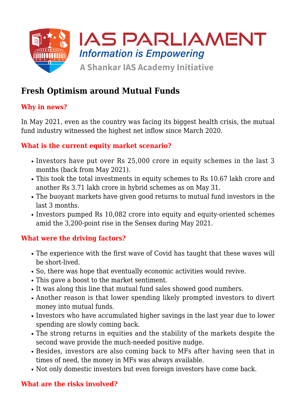

# **Fresh Optimism around Mutual Funds**

## **Why in news?**

In May 2021, even as the country was facing its biggest health crisis, the mutual fund industry witnessed the highest net inflow since March 2020.

#### **What is the current equity market scenario?**

- Investors have put over Rs 25,000 crore in equity schemes in the last 3 months (back from May 2021).
- This took the total investments in equity schemes to Rs 10.67 lakh crore and another Rs 3.71 lakh crore in hybrid schemes as on May 31.
- The buoyant markets have given good returns to mutual fund investors in the last 3 months.
- Investors pumped Rs 10,082 crore into equity and equity-oriented schemes amid the 3,200-point rise in the Sensex during May 2021.

### **What were the driving factors?**

- The experience with the first wave of Covid has taught that these waves will be short-lived.
- So, there was hope that eventually economic activities would revive.
- This gave a boost to the market sentiment.
- It was along this line that mutual fund sales showed good numbers.
- Another reason is that lower spending likely prompted investors to divert money into mutual funds.
- Investors who have accumulated higher savings in the last year due to lower spending are slowly coming back.
- The strong returns in equities and the stability of the markets despite the second wave provide the much-needed positive nudge.
- Besides, investors are also coming back to MFs after having seen that in times of need, the money in MFs was always available.
- Not only domestic investors but even foreign investors have come back.

### **What are the risks involved?**